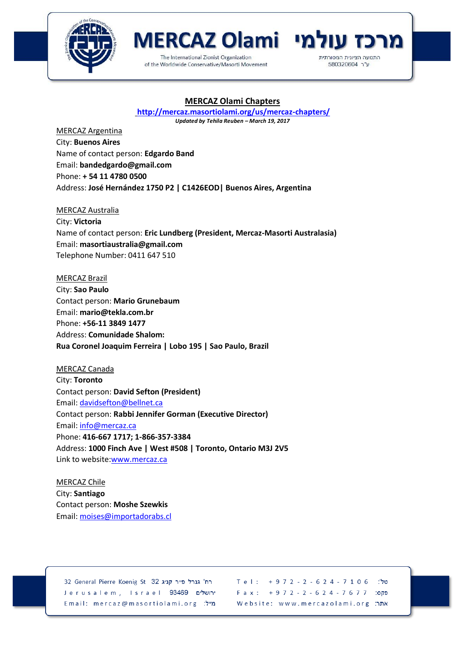



## **MERCAZ Olami Chapters**

**<http://mercaz.masortiolami.org/us/mercaz-chapters/>**

*Updated by Tehila Reuben – March 19, 2017*

MERCAZ Argentina City: **Buenos Aires** Name of contact person: **Edgardo Band** Email: **bandedgardo@gmail.com** Phone: **+ 54 11 4780 0500** Address: **José Hernández 1750 P2 | C1426EOD| Buenos Aires, Argentina**

MERCAZ Australia City: **Victoria** Name of contact person: **Eric Lundberg (President, Mercaz-Masorti Australasia)** Email: **masortiaustralia@gmail.com** Telephone Number: 0411 647 510

MERCAZ Brazil

City: **Sao Paulo** Contact person: **Mario Grunebaum** Email: **mario@tekla.com.br** Phone: **+56-11 3849 1477** Address: **Comunidade Shalom: Rua Coronel Joaquim Ferreira | Lobo 195 | Sao Paulo, Brazil**

MERCAZ Canada City: **Toronto** Contact person: **David Sefton (President)** Email: [davidsefton@bellnet.ca](mailto:davidsefton@bellnet.ca) Contact person: **Rabbi Jennifer Gorman (Executive Director)** Email: [info@mercaz.ca](mailto:info@mercaz.ca) Phone: **416-667 1717; 1-866-357-3384** Address: **1000 Finch Ave | West #508 | Toronto, Ontario M3J 2V5** Link to website[:www.mercaz.ca](http://www.mercaz.ca/)

MERCAZ Chile City: **Santiago** Contact person: **Moshe Szewkis** Email: [moises@importadorabs.cl](mailto:moises@importadorabs.cl)

32 General Pierre Koenig St 32 הח' גנרל פייר קניג Jerusalem, Israel 93469 ירושלים Email: mercaz@masortiolami.org מייל:

Tel:  $+972 - 2 - 624 - 7106$ טל" Fax:  $+972 - 2 - 624 - 7677$ פקס: Website: www.mercazolami.org אתר: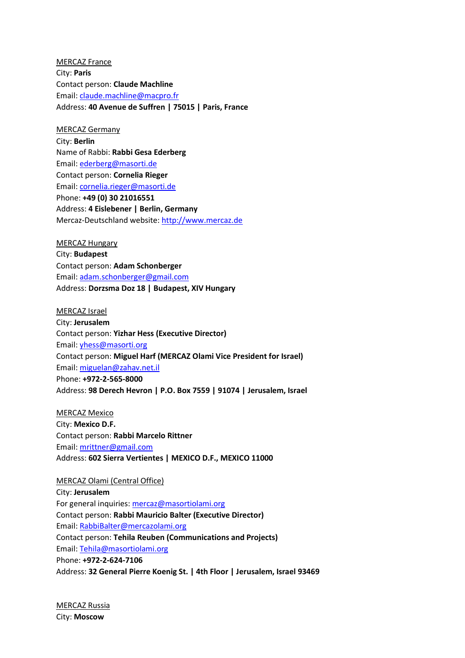MERCAZ France City: **Paris** Contact person: **Claude Machline** Email: [claude.machline@macpro.fr](mailto:claude.machline@macpro.fr) Address: **40 Avenue de Suffren | 75015 | Paris, France**

MERCAZ Germany

City: **Berlin** Name of Rabbi: **Rabbi Gesa Ederberg** Email: [ederberg@masorti.de](mailto:ederberg@masorti.de) Contact person: **Cornelia Rieger** Email: [cornelia.rieger@masorti.de](mailto:cornelia.rieger@masorti.de) Phone: **+49 (0) 30 21016551** Address: **4 Eislebener | Berlin, Germany** Mercaz-Deutschland website: [http://www.mercaz.de](http://www.mercaz.de/)

MERCAZ Hungary

City: **Budapest** Contact person: **Adam Schonberger** Email: [adam.schonberger@gmail.com](mailto:adam.schonberger@gmail.com) Address: **Dorzsma Doz 18 | Budapest, XIV Hungary**

MERCAZ Israel City: **Jerusalem** Contact person: **Yizhar Hess (Executive Director)** Email: [yhess@masorti.org](mailto:yhess@masorti.org) Contact person: **Miguel Harf (MERCAZ Olami Vice President for Israel)** Email: [miguelan@zahav.net.il](mailto:miguelan@zahav.net.il) Phone: **+972-2-565-8000** Address: **98 Derech Hevron | P.O. Box 7559 | 91074 | Jerusalem, Israel**

MERCAZ Mexico City: **Mexico D.F.** Contact person: **Rabbi Marcelo Rittner** Email: [mrittner@gmail.com](mailto:mrittner@gmail.com) Address: **602 Sierra Vertientes | MEXICO D.F., MEXICO 11000**

MERCAZ Olami (Central Office) City: **Jerusalem** For general inquiries: [mercaz@masortiolami.org](mailto:mercaz@masortiolami.org?subject=Conatct%20via%20www.mercazolami.org) Contact person: **Rabbi Mauricio Balter (Executive Director)** Email: [RabbiBalter@mercazolami.org](mailto:RabbiBalter@mercazolami.org) Contact person: **Tehila Reuben (Communications and Projects)** Email: [Tehila@masortiolami.org](mailto:Tehila@masortiolami.org) Phone: **+972-2-624-7106** Address: **32 General Pierre Koenig St. | 4th Floor | Jerusalem, Israel 93469**

MERCAZ Russia City: **Moscow**